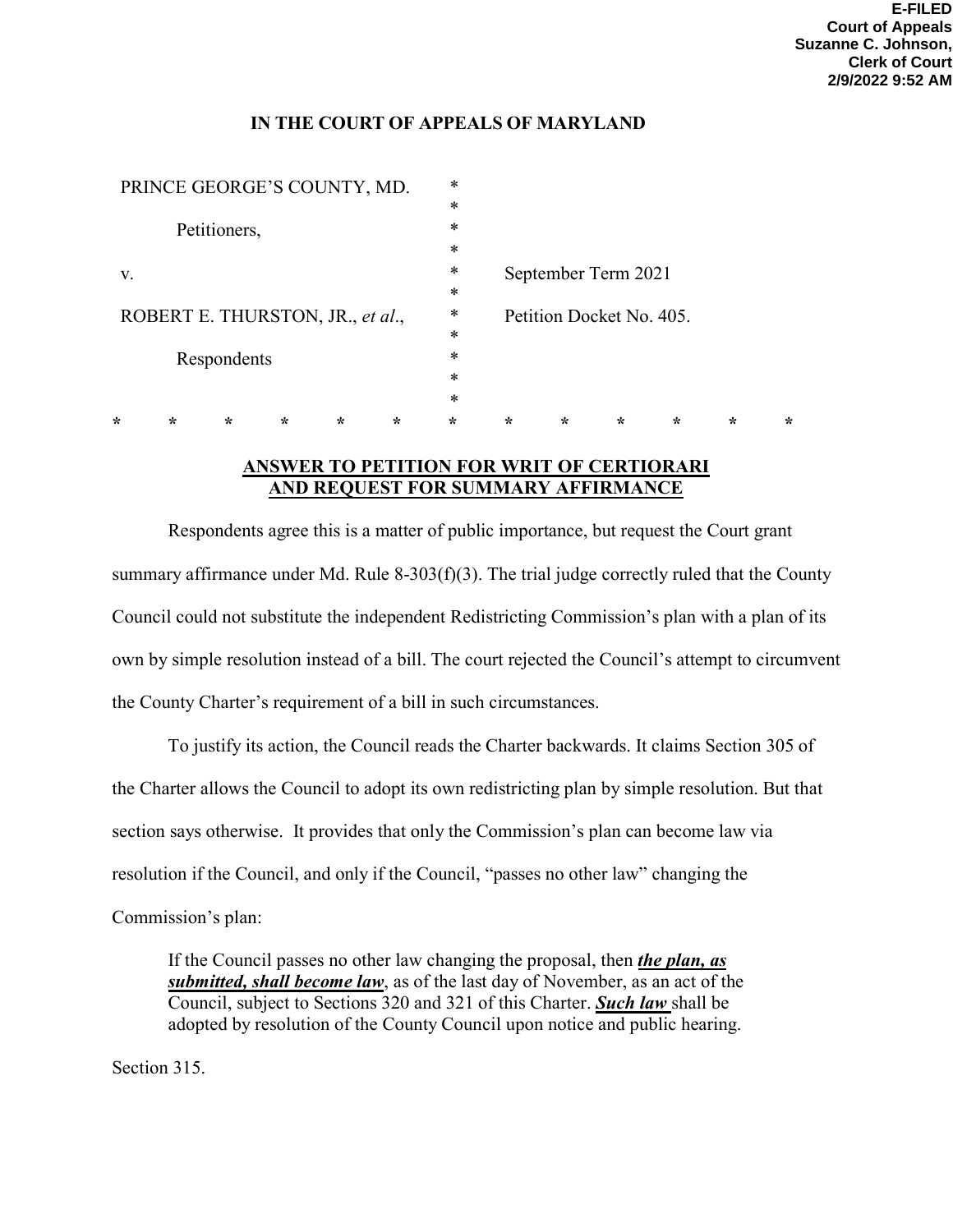# **IN THE COURT OF APPEALS OF MARYLAND**

| PRINCE GEORGE'S COUNTY, MD.      |   |         |         |         |         | *       |                                                 |         |         |         |         |         |
|----------------------------------|---|---------|---------|---------|---------|---------|-------------------------------------------------|---------|---------|---------|---------|---------|
|                                  |   |         |         |         |         | $\ast$  |                                                 |         |         |         |         |         |
| Petitioners,                     |   |         |         |         | *       |         |                                                 |         |         |         |         |         |
|                                  |   |         |         | $\ast$  |         |         |                                                 |         |         |         |         |         |
| V.                               |   |         |         |         |         | *       | September Term 2021<br>Petition Docket No. 405. |         |         |         |         |         |
|                                  |   |         |         |         |         | $\ast$  |                                                 |         |         |         |         |         |
| ROBERT E. THURSTON, JR., et al., |   |         |         |         |         | $\ast$  |                                                 |         |         |         |         |         |
|                                  |   |         |         |         |         | $\ast$  |                                                 |         |         |         |         |         |
| Respondents                      |   |         |         |         |         | *       |                                                 |         |         |         |         |         |
|                                  |   |         |         |         |         | $\ast$  |                                                 |         |         |         |         |         |
|                                  |   |         |         |         |         | *       |                                                 |         |         |         |         |         |
| ÷                                | ∗ | $\star$ | $\star$ | $\star$ | $\star$ | $\star$ | $\star$                                         | $\star$ | $\star$ | $\star$ | $\star$ | $\star$ |
|                                  |   |         |         |         |         |         |                                                 |         |         |         |         |         |

# **ANSWER TO PETITION FOR WRIT OF CERTIORARI AND REQUEST FOR SUMMARY AFFIRMANCE**

 Respondents agree this is a matter of public importance, but request the Court grant summary affirmance under Md. Rule 8-303(f)(3). The trial judge correctly ruled that the County Council could not substitute the independent Redistricting Commission's plan with a plan of its own by simple resolution instead of a bill. The court rejected the Council's attempt to circumvent the County Charter's requirement of a bill in such circumstances.

To justify its action, the Council reads the Charter backwards. It claims Section 305 of the Charter allows the Council to adopt its own redistricting plan by simple resolution. But that section says otherwise. It provides that only the Commission's plan can become law via resolution if the Council, and only if the Council, "passes no other law" changing the Commission's plan:

If the Council passes no other law changing the proposal, then *the plan, as submitted, shall become law*, as of the last day of November, as an act of the Council, subject to Sections 320 and 321 of this Charter. *Such law* shall be adopted by resolution of the County Council upon notice and public hearing.

Section 315.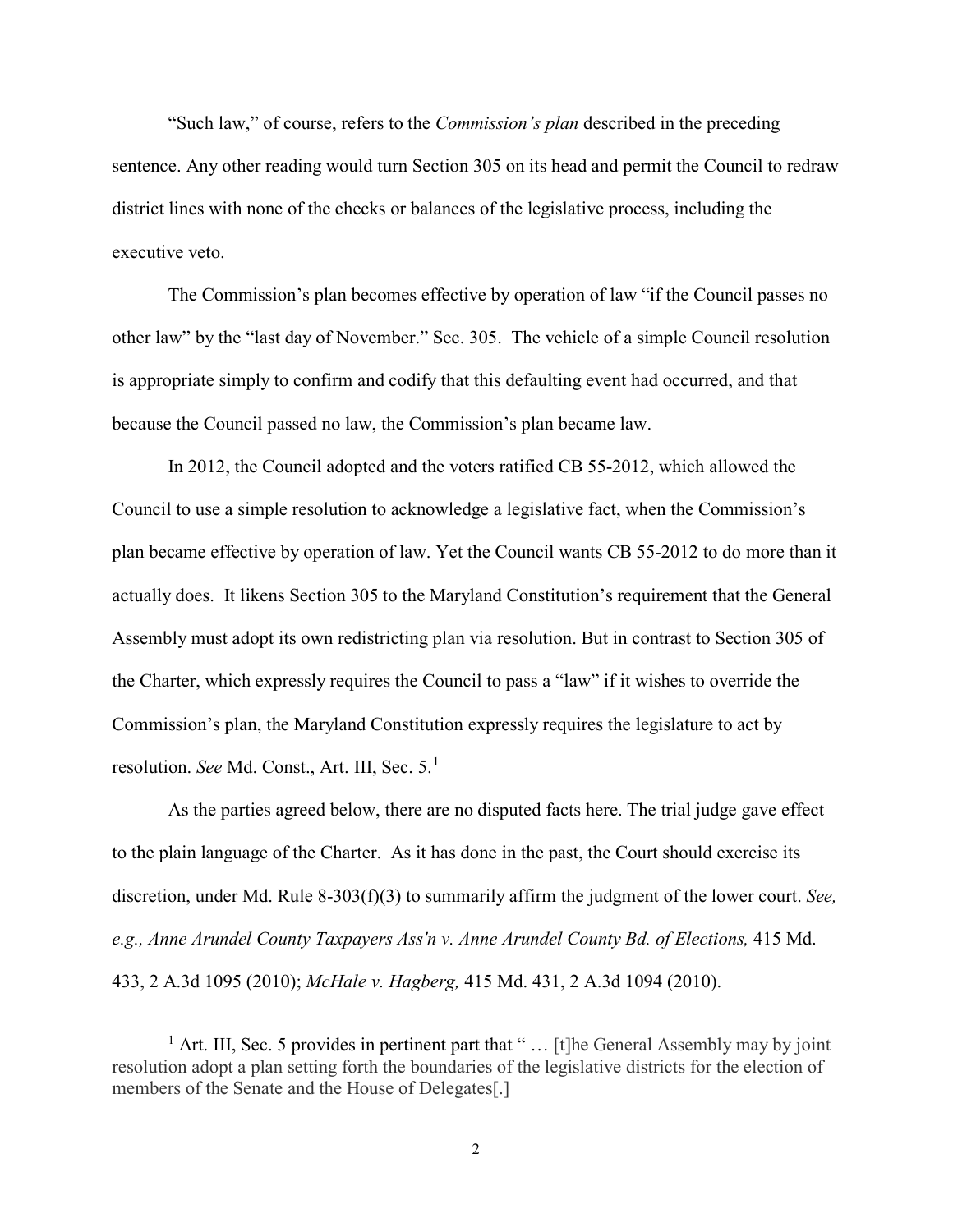"Such law," of course, refers to the *Commission's plan* described in the preceding sentence. Any other reading would turn Section 305 on its head and permit the Council to redraw district lines with none of the checks or balances of the legislative process, including the executive veto.

The Commission's plan becomes effective by operation of law "if the Council passes no other law" by the "last day of November." Sec. 305. The vehicle of a simple Council resolution is appropriate simply to confirm and codify that this defaulting event had occurred, and that because the Council passed no law, the Commission's plan became law.

In 2012, the Council adopted and the voters ratified CB 55-2012, which allowed the Council to use a simple resolution to acknowledge a legislative fact, when the Commission's plan became effective by operation of law. Yet the Council wants CB 55-2012 to do more than it actually does. It likens Section 305 to the Maryland Constitution's requirement that the General Assembly must adopt its own redistricting plan via resolution. But in contrast to Section 305 of the Charter, which expressly requires the Council to pass a "law" if it wishes to override the Commission's plan, the Maryland Constitution expressly requires the legislature to act by resolution. *See* Md. Const., Art. III, Sec. 5.[1](#page-1-0)

As the parties agreed below, there are no disputed facts here. The trial judge gave effect to the plain language of the Charter. As it has done in the past, the Court should exercise its discretion, under Md. Rule 8-303(f)(3) to summarily affirm the judgment of the lower court. *See,*  e.g., Anne Arundel County Taxpayers Ass'n v. Anne Arundel County Bd. of Elections, 415 Md. 433, 2 A.3d 1095 (2010); *McHale v. Hagberg,* 415 Md. 431, 2 A.3d 1094 (2010).

<span id="page-1-0"></span><sup>&</sup>lt;sup>1</sup> Art. III, Sec. 5 provides in pertinent part that " $\ldots$  [t] he General Assembly may by joint resolution adopt a plan setting forth the boundaries of the legislative districts for the election of members of the Senate and the House of Delegates<sup>[1]</sup>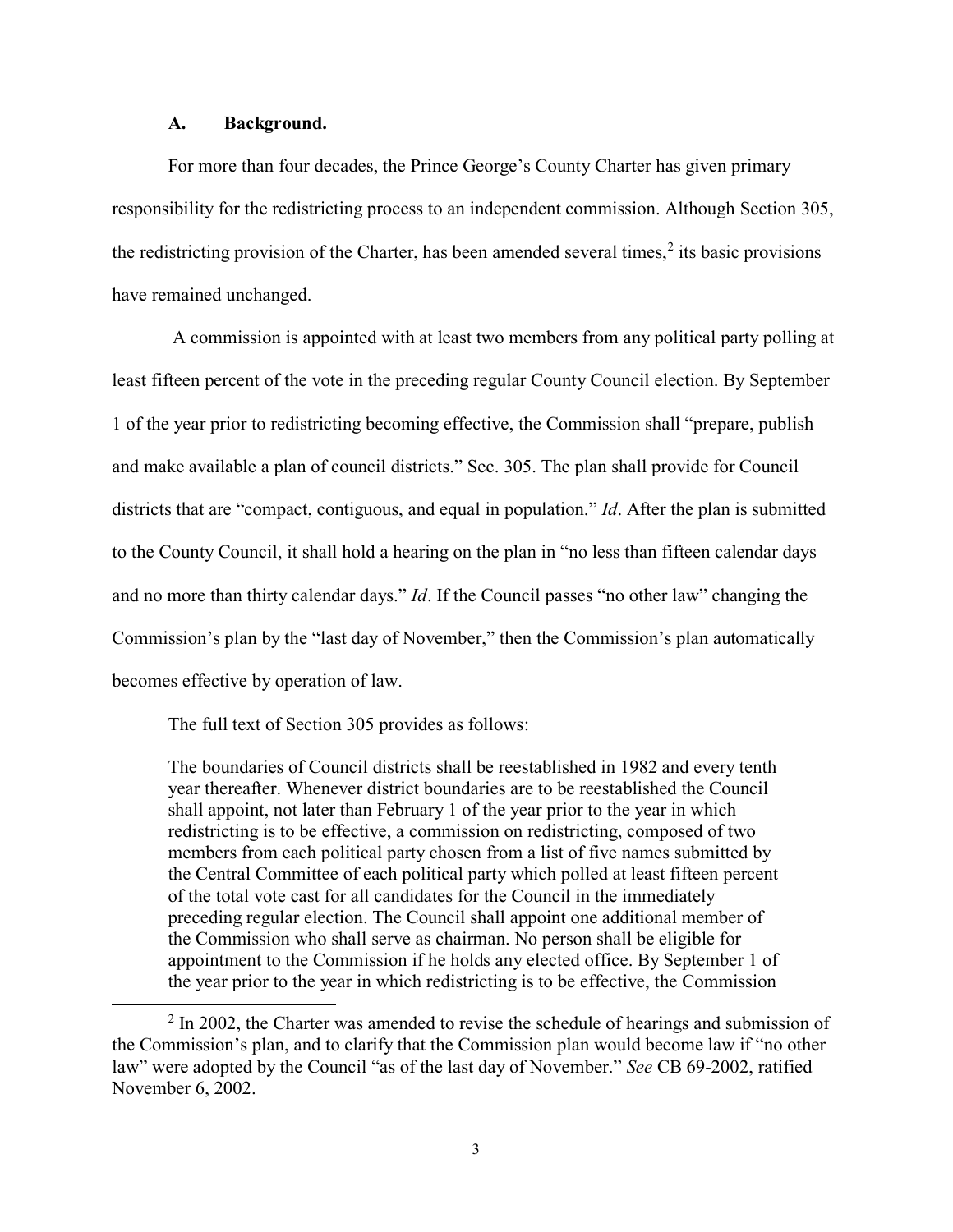#### **A. Background.**

For more than four decades, the Prince George's County Charter has given primary responsibility for the redistricting process to an independent commission. Although Section 305, the redistricting provision of the Charter, has been amended several times,<sup>[2](#page-2-0)</sup> its basic provisions have remained unchanged.

A commission is appointed with at least two members from any political party polling at least fifteen percent of the vote in the preceding regular County Council election. By September 1 of the year prior to redistricting becoming effective, the Commission shall "prepare, publish and make available a plan of council districts." Sec. 305. The plan shall provide for Council districts that are "compact, contiguous, and equal in population." *Id*. After the plan is submitted to the County Council, it shall hold a hearing on the plan in "no less than fifteen calendar days and no more than thirty calendar days." *Id*. If the Council passes "no other law" changing the Commission's plan by the "last day of November," then the Commission's plan automatically becomes effective by operation of law.

The full text of Section 305 provides as follows:

The boundaries of Council districts shall be reestablished in 1982 and every tenth year thereafter. Whenever district boundaries are to be reestablished the Council shall appoint, not later than February 1 of the year prior to the year in which redistricting is to be effective, a commission on redistricting, composed of two members from each political party chosen from a list of five names submitted by the Central Committee of each political party which polled at least fifteen percent of the total vote cast for all candidates for the Council in the immediately preceding regular election. The Council shall appoint one additional member of the Commission who shall serve as chairman. No person shall be eligible for appointment to the Commission if he holds any elected office. By September 1 of the year prior to the year in which redistricting is to be effective, the Commission

<span id="page-2-0"></span> $2 \ln 2002$ , the Charter was amended to revise the schedule of hearings and submission of the Commission's plan, and to clarify that the Commission plan would become law if "no other law" were adopted by the Council "as of the last day of November." *See* CB 69-2002, ratified November 6, 2002.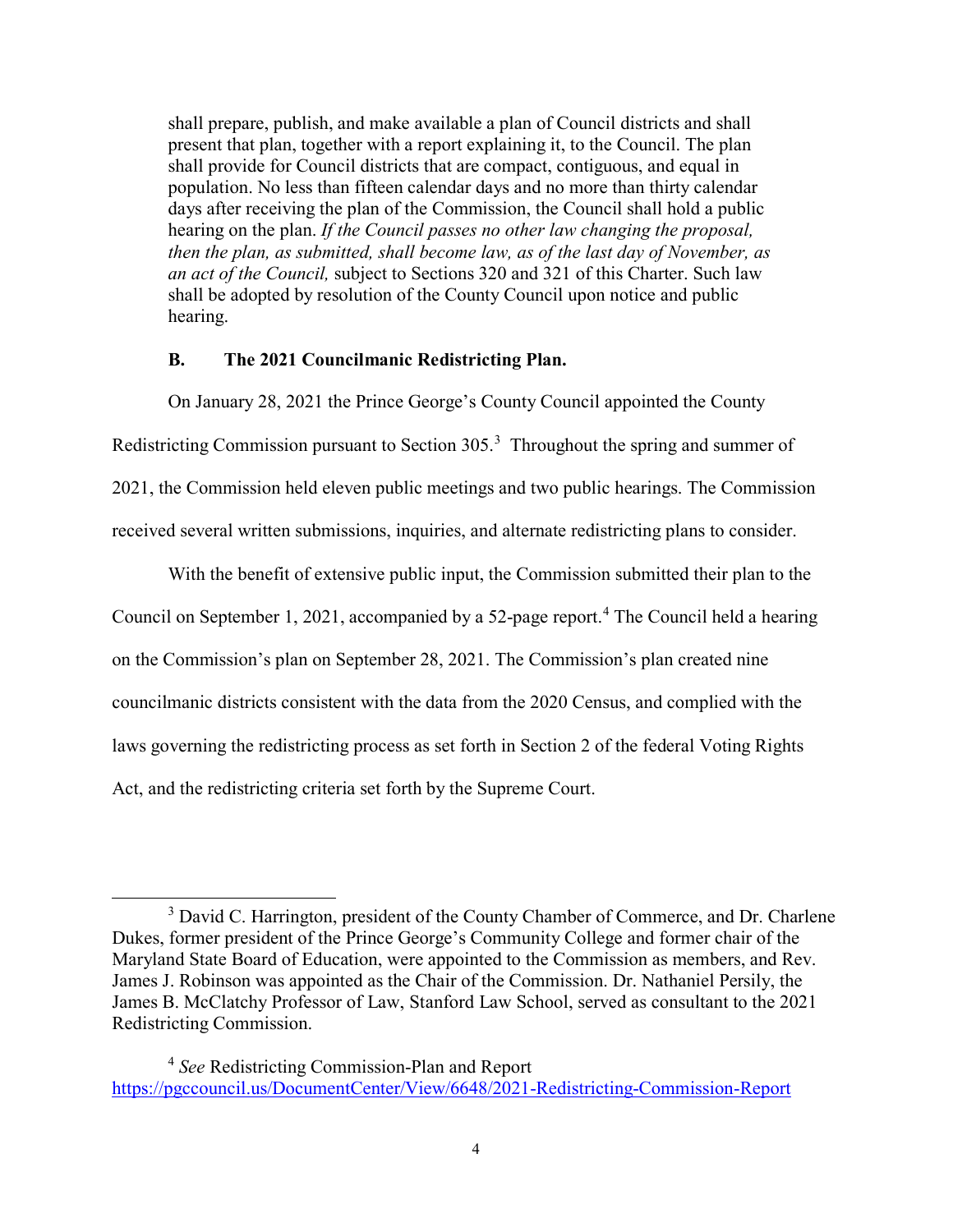shall prepare, publish, and make available a plan of Council districts and shall present that plan, together with a report explaining it, to the Council. The plan shall provide for Council districts that are compact, contiguous, and equal in population. No less than fifteen calendar days and no more than thirty calendar days after receiving the plan of the Commission, the Council shall hold a public hearing on the plan. *If the Council passes no other law changing the proposal, then the plan, as submitted, shall become law, as of the last day of November, as an act of the Council,* subject to Sections 320 and 321 of this Charter. Such law shall be adopted by resolution of the County Council upon notice and public hearing.

### **B. The 2021 Councilmanic Redistricting Plan.**

On January 28, 2021 the Prince George's County Council appointed the County

Redistricting Commission pursuant to Section [3](#page-3-0)05.<sup>3</sup> Throughout the spring and summer of

2021, the Commission held eleven public meetings and two public hearings. The Commission

received several written submissions, inquiries, and alternate redistricting plans to consider.

With the benefit of extensive public input, the Commission submitted their plan to the

Council on September 1, 2021, accompanied by a 52-page report.<sup>[4](#page-3-1)</sup> The Council held a hearing

on the Commission's plan on September 28, 2021. The Commission's plan created nine

councilmanic districts consistent with the data from the 2020 Census, and complied with the

laws governing the redistricting process as set forth in Section 2 of the federal Voting Rights

Act, and the redistricting criteria set forth by the Supreme Court.

<span id="page-3-0"></span><sup>&</sup>lt;sup>3</sup> David C. Harrington, president of the County Chamber of Commerce, and Dr. Charlene Dukes, former president of the Prince George's Community College and former chair of the Maryland State Board of Education, were appointed to the Commission as members, and Rev. James J. Robinson was appointed as the Chair of the Commission. Dr. Nathaniel Persily, the James B. McClatchy Professor of Law, Stanford Law School, served as consultant to the 2021 Redistricting Commission.

<span id="page-3-1"></span><sup>4</sup> *See* Redistricting Commission-Plan and Report <https://pgccouncil.us/DocumentCenter/View/6648/2021-Redistricting-Commission-Report>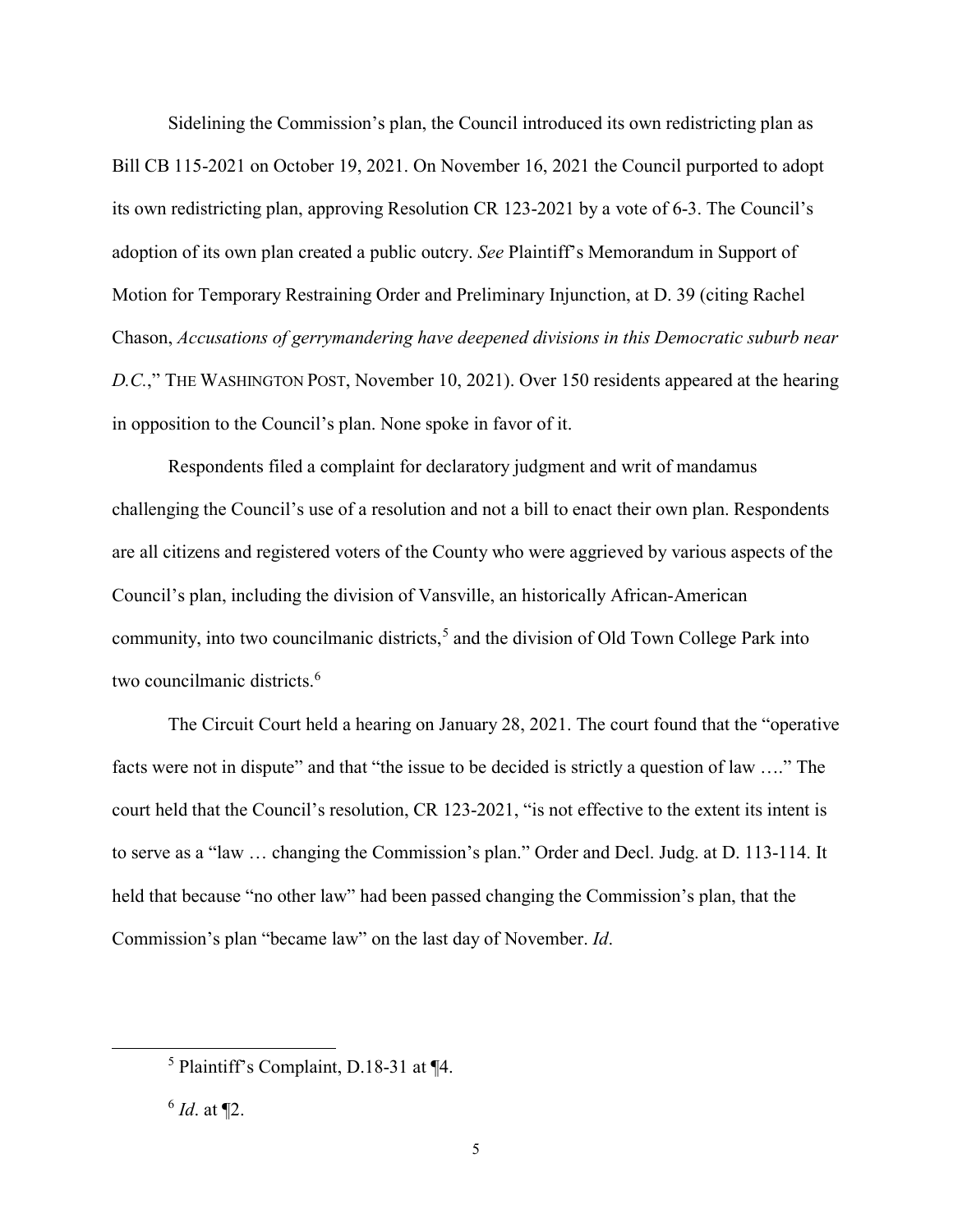Sidelining the Commission's plan, the Council introduced its own redistricting plan as Bill CB 115-2021 on October 19, 2021. On November 16, 2021 the Council purported to adopt its own redistricting plan, approving Resolution CR 123-2021 by a vote of 6-3. The Council's adoption of its own plan created a public outcry. *See* Plaintiff's Memorandum in Support of Motion for Temporary Restraining Order and Preliminary Injunction, at D. 39 (citing Rachel Chason, *Accusations of gerrymandering have deepened divisions in this Democratic suburb near D.C.*," THE WASHINGTON POST, November 10, 2021). Over 150 residents appeared at the hearing in opposition to the Council's plan. None spoke in favor of it.

Respondents filed a complaint for declaratory judgment and writ of mandamus challenging the Council's use of a resolution and not a bill to enact their own plan. Respondents are all citizens and registered voters of the County who were aggrieved by various aspects of the Council's plan, including the division of Vansville, an historically African-American community, into two councilmanic districts,<sup>[5](#page-4-0)</sup> and the division of Old Town College Park into two councilmanic districts.<sup>[6](#page-4-1)</sup>

The Circuit Court held a hearing on January 28, 2021. The court found that the "operative facts were not in dispute" and that "the issue to be decided is strictly a question of law …." The court held that the Council's resolution, CR 123-2021, "is not effective to the extent its intent is to serve as a "law … changing the Commission's plan." Order and Decl. Judg. at D. 113-114. It held that because "no other law" had been passed changing the Commission's plan, that the Commission's plan "became law" on the last day of November. *Id*.

<span id="page-4-0"></span> <sup>5</sup> Plaintiff's Complaint, D.18-31 at ¶4.

<span id="page-4-1"></span> $^6$  *Id.* at  $\P2$ .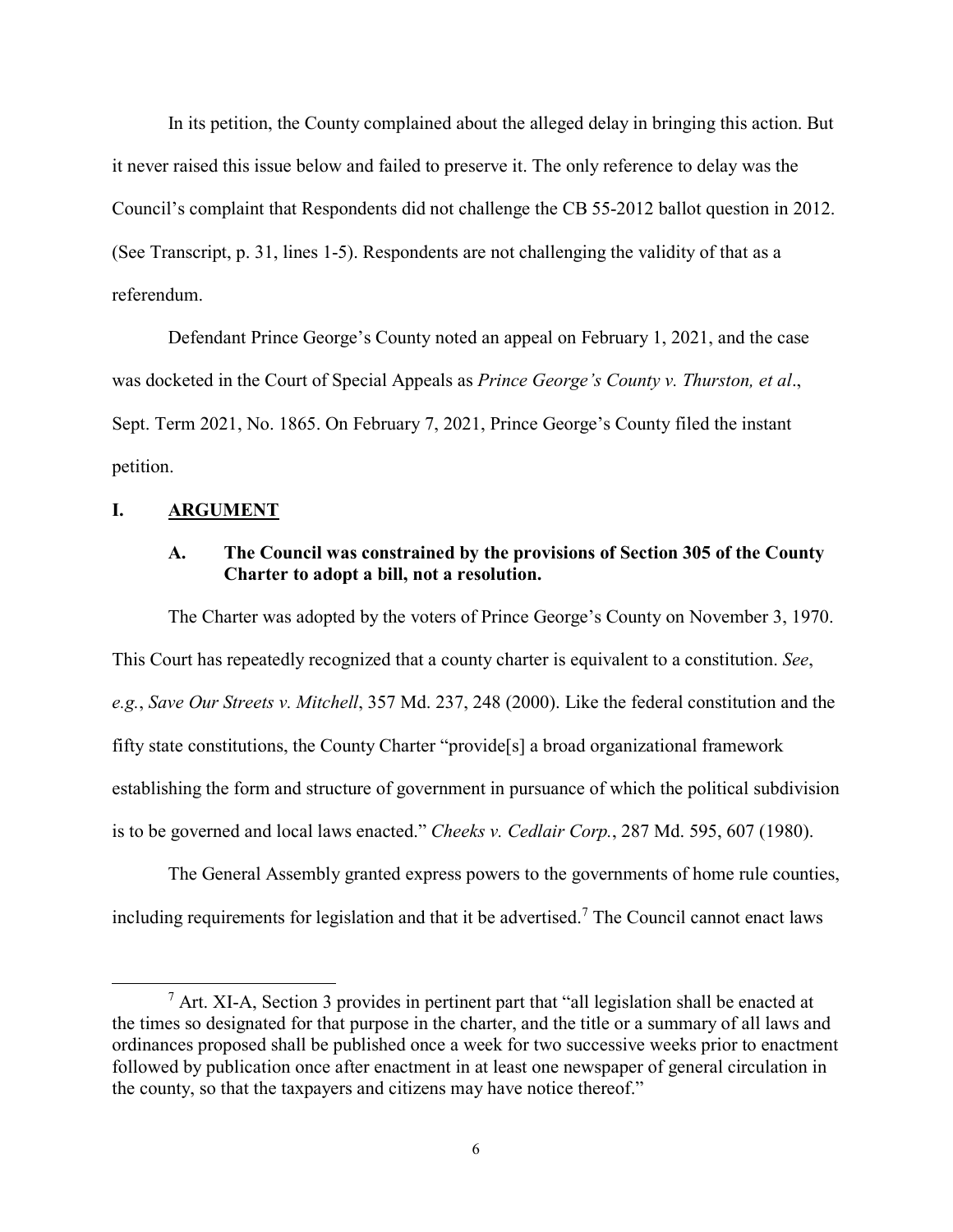In its petition, the County complained about the alleged delay in bringing this action. But it never raised this issue below and failed to preserve it. The only reference to delay was the Council's complaint that Respondents did not challenge the CB 55-2012 ballot question in 2012. (See Transcript, p. 31, lines 1-5). Respondents are not challenging the validity of that as a referendum.

Defendant Prince George's County noted an appeal on February 1, 2021, and the case was docketed in the Court of Special Appeals as *Prince George's County v. Thurston, et al*., Sept. Term 2021, No. 1865. On February 7, 2021, Prince George's County filed the instant petition.

#### **I. ARGUMENT**

### **A. The Council was constrained by the provisions of Section 305 of the County Charter to adopt a bill, not a resolution.**

The Charter was adopted by the voters of Prince George's County on November 3, 1970. This Court has repeatedly recognized that a county charter is equivalent to a constitution. *See*, *e.g.*, *Save Our Streets v. Mitchell*, 357 Md. 237, 248 (2000). Like the federal constitution and the fifty state constitutions, the County Charter "provide[s] a broad organizational framework establishing the form and structure of government in pursuance of which the political subdivision is to be governed and local laws enacted." *Cheeks v. Cedlair Corp.*, 287 Md. 595, 607 (1980).

The General Assembly granted express powers to the governments of home rule counties, including requirements for legislation and that it be advertised. [7](#page-5-0) The Council cannot enact laws

<span id="page-5-0"></span> $<sup>7</sup>$  Art. XI-A, Section 3 provides in pertinent part that "all legislation shall be enacted at</sup> the times so designated for that purpose in the charter, and the title or a summary of all laws and ordinances proposed shall be published once a week for two successive weeks prior to enactment followed by publication once after enactment in at least one newspaper of general circulation in the county, so that the taxpayers and citizens may have notice thereof."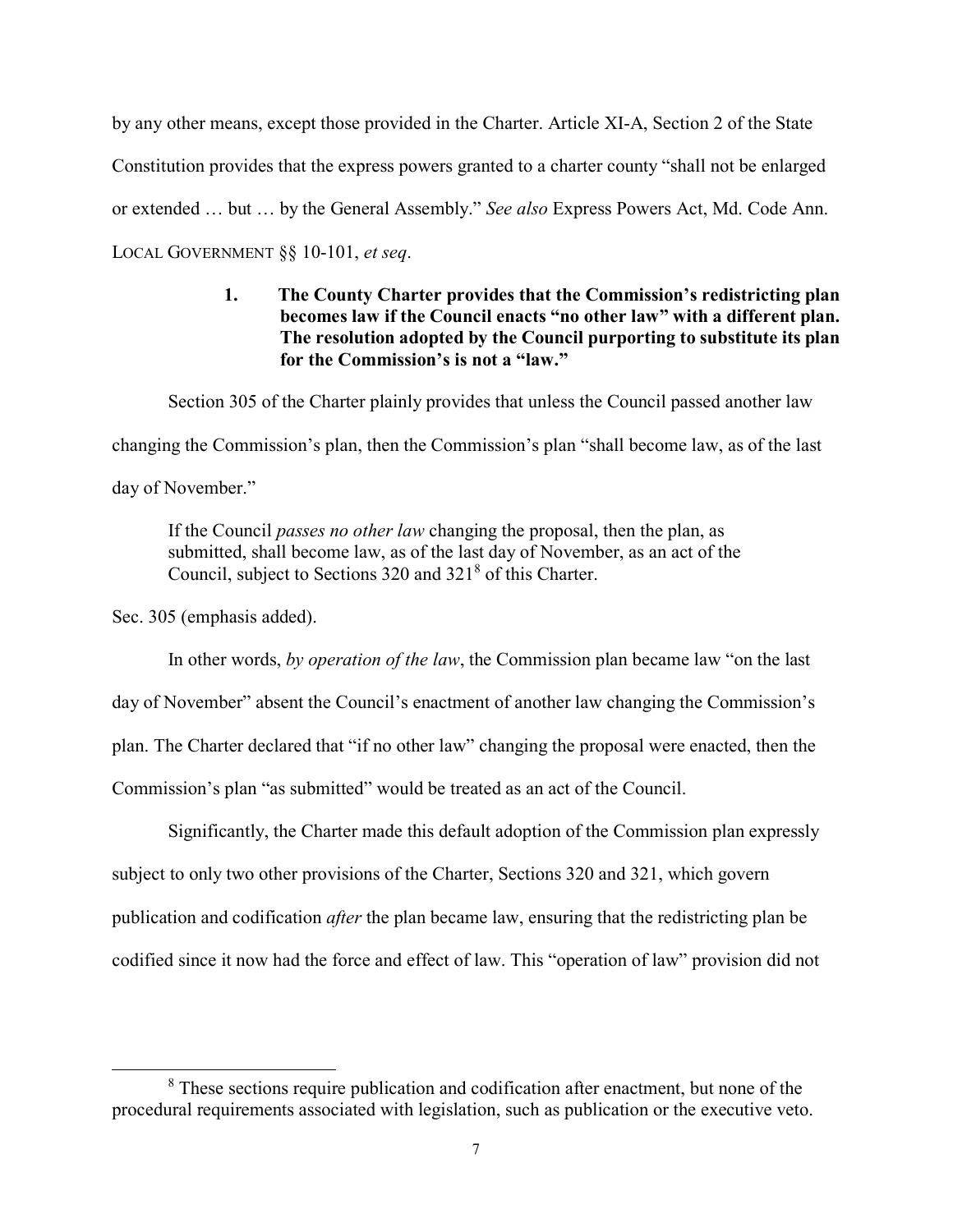by any other means, except those provided in the Charter. Article XI-A, Section 2 of the State Constitution provides that the express powers granted to a charter county "shall not be enlarged or extended … but … by the General Assembly." *See also* Express Powers Act, Md. Code Ann. LOCAL GOVERNMENT §§ 10-101, *et seq*.

# **1. The County Charter provides that the Commission's redistricting plan becomes law if the Council enacts "no other law" with a different plan. The resolution adopted by the Council purporting to substitute its plan for the Commission's is not a "law."**

Section 305 of the Charter plainly provides that unless the Council passed another law

changing the Commission's plan, then the Commission's plan "shall become law, as of the last

day of November."

If the Council *passes no other law* changing the proposal, then the plan, as submitted, shall become law, as of the last day of November, as an act of the Council, subject to Sections 320 and 321<sup>[8](#page-6-0)</sup> of this Charter.

Sec. 305 (emphasis added).

In other words, *by operation of the law*, the Commission plan became law "on the last day of November" absent the Council's enactment of another law changing the Commission's plan. The Charter declared that "if no other law" changing the proposal were enacted, then the Commission's plan "as submitted" would be treated as an act of the Council.

Significantly, the Charter made this default adoption of the Commission plan expressly subject to only two other provisions of the Charter, Sections 320 and 321, which govern publication and codification *after* the plan became law, ensuring that the redistricting plan be codified since it now had the force and effect of law. This "operation of law" provision did not

<span id="page-6-0"></span><sup>&</sup>lt;sup>8</sup> These sections require publication and codification after enactment, but none of the procedural requirements associated with legislation, such as publication or the executive veto.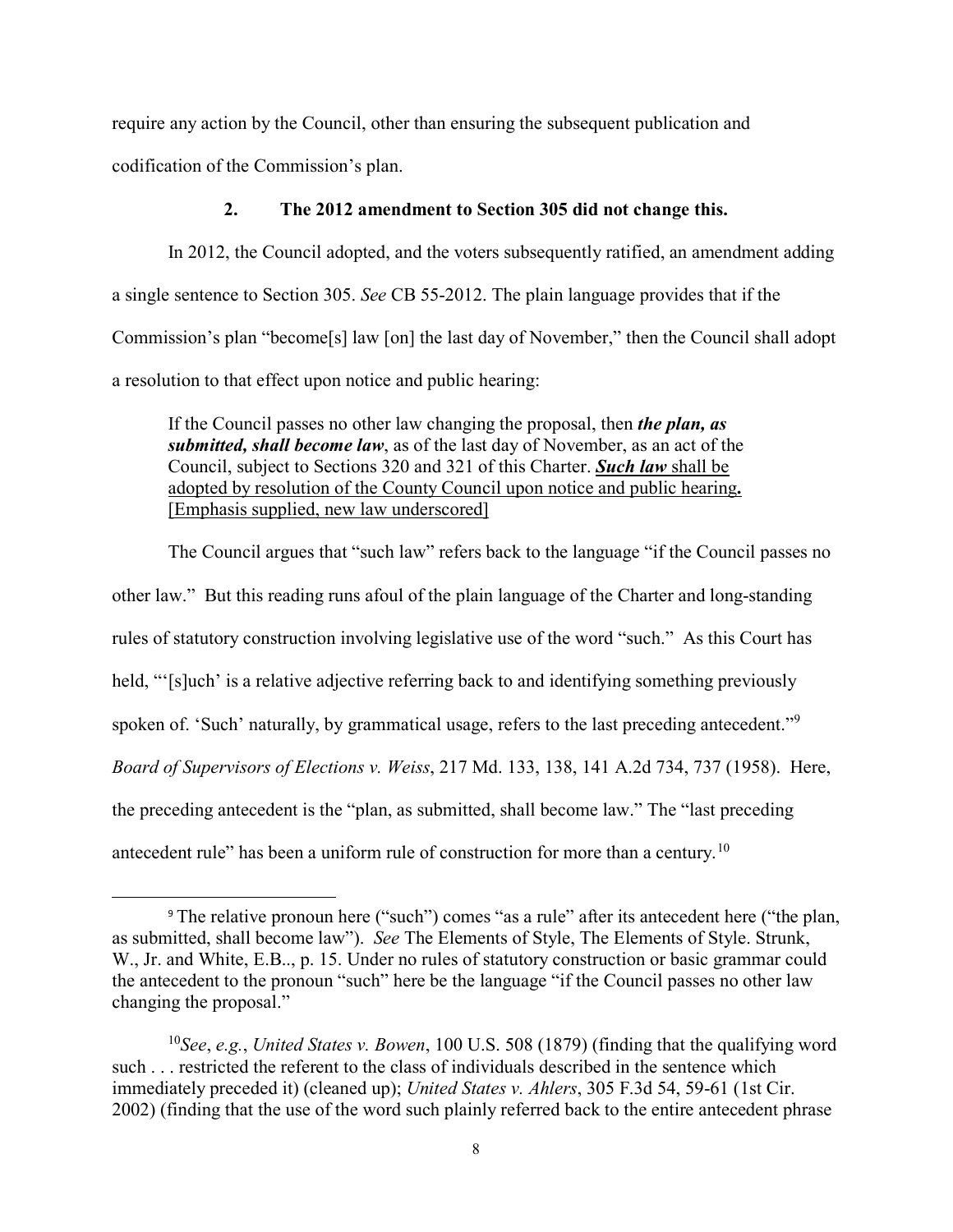require any action by the Council, other than ensuring the subsequent publication and codification of the Commission's plan.

#### **2. The 2012 amendment to Section 305 did not change this.**

In 2012, the Council adopted, and the voters subsequently ratified, an amendment adding a single sentence to Section 305. *See* CB 55-2012. The plain language provides that if the Commission's plan "become[s] law [on] the last day of November," then the Council shall adopt a resolution to that effect upon notice and public hearing:

If the Council passes no other law changing the proposal, then *the plan, as submitted, shall become law*, as of the last day of November, as an act of the Council, subject to Sections 320 and 321 of this Charter. *Such law* shall be adopted by resolution of the County Council upon notice and public hearing**.** [Emphasis supplied, new law underscored]

The Council argues that "such law" refers back to the language "if the Council passes no other law." But this reading runs afoul of the plain language of the Charter and long-standing rules of statutory construction involving legislative use of the word "such." As this Court has held, "[s]uch' is a relative adjective referring back to and identifying something previously spoken of. 'Such' naturally, by grammatical usage, refers to the last preceding antecedent."<sup>[9](#page-7-0)</sup> *Board of Supervisors of Elections v. Weiss*, 217 Md. 133, 138, 141 A.2d 734, 737 (1958). Here, the preceding antecedent is the "plan, as submitted, shall become law." The "last preceding antecedent rule" has been a uniform rule of construction for more than a century.<sup>[10](#page-7-1)</sup>

 $\overline{a}$ 

<span id="page-7-0"></span><sup>9</sup> The relative pronoun here ("such") comes "as a rule" after its antecedent here ("the plan, as submitted, shall become law"). *See* The Elements of Style, The Elements of Style. Strunk, W., Jr. and White, E.B.., p. 15. Under no rules of statutory construction or basic grammar could the antecedent to the pronoun "such" here be the language "if the Council passes no other law changing the proposal."

<span id="page-7-1"></span><sup>10</sup>*See*, *e.g.*, *United States v. Bowen*, 100 U.S. 508 (1879) (finding that the qualifying word such . . . restricted the referent to the class of individuals described in the sentence which immediately preceded it) (cleaned up); *United States v. Ahlers*, 305 F.3d 54, 59-61 (1st Cir. 2002) (finding that the use of the word such plainly referred back to the entire antecedent phrase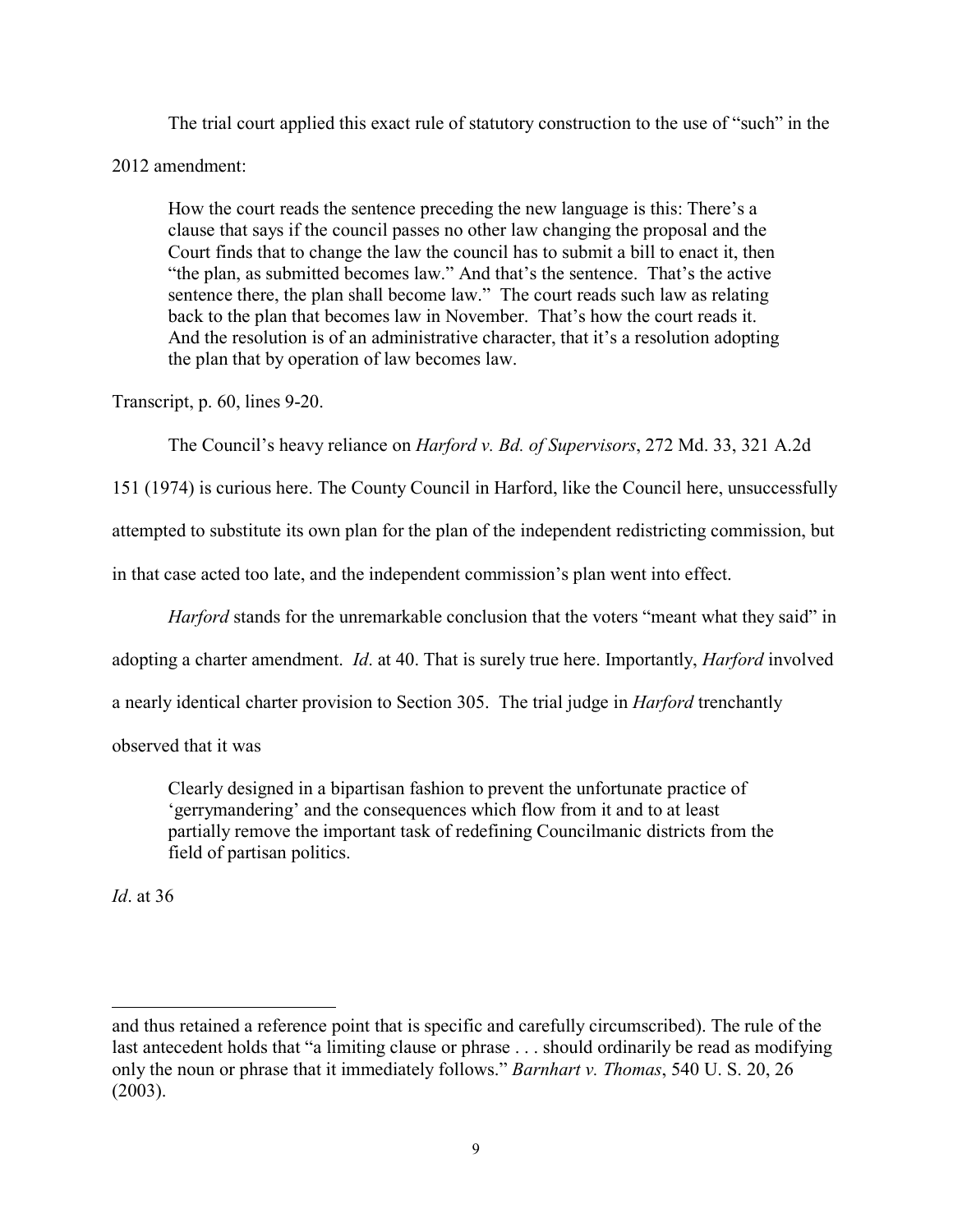The trial court applied this exact rule of statutory construction to the use of "such" in the

2012 amendment:

How the court reads the sentence preceding the new language is this: There's a clause that says if the council passes no other law changing the proposal and the Court finds that to change the law the council has to submit a bill to enact it, then "the plan, as submitted becomes law." And that's the sentence. That's the active sentence there, the plan shall become law." The court reads such law as relating back to the plan that becomes law in November. That's how the court reads it. And the resolution is of an administrative character, that it's a resolution adopting the plan that by operation of law becomes law.

Transcript, p. 60, lines 9-20.

The Council's heavy reliance on *Harford v. Bd. of Supervisors*, 272 Md. 33, 321 A.2d

151 (1974) is curious here. The County Council in Harford, like the Council here, unsuccessfully attempted to substitute its own plan for the plan of the independent redistricting commission, but in that case acted too late, and the independent commission's plan went into effect.

*Harford* stands for the unremarkable conclusion that the voters "meant what they said" in

adopting a charter amendment. *Id*. at 40. That is surely true here. Importantly, *Harford* involved

a nearly identical charter provision to Section 305. The trial judge in *Harford* trenchantly

observed that it was

Clearly designed in a bipartisan fashion to prevent the unfortunate practice of 'gerrymandering' and the consequences which flow from it and to at least partially remove the important task of redefining Councilmanic districts from the field of partisan politics.

*Id*. at 36

 $\overline{a}$ 

and thus retained a reference point that is specific and carefully circumscribed). The rule of the last antecedent holds that "a limiting clause or phrase . . . should ordinarily be read as modifying only the noun or phrase that it immediately follows." *Barnhart v. Thomas*, 540 U. S. 20, 26 (2003).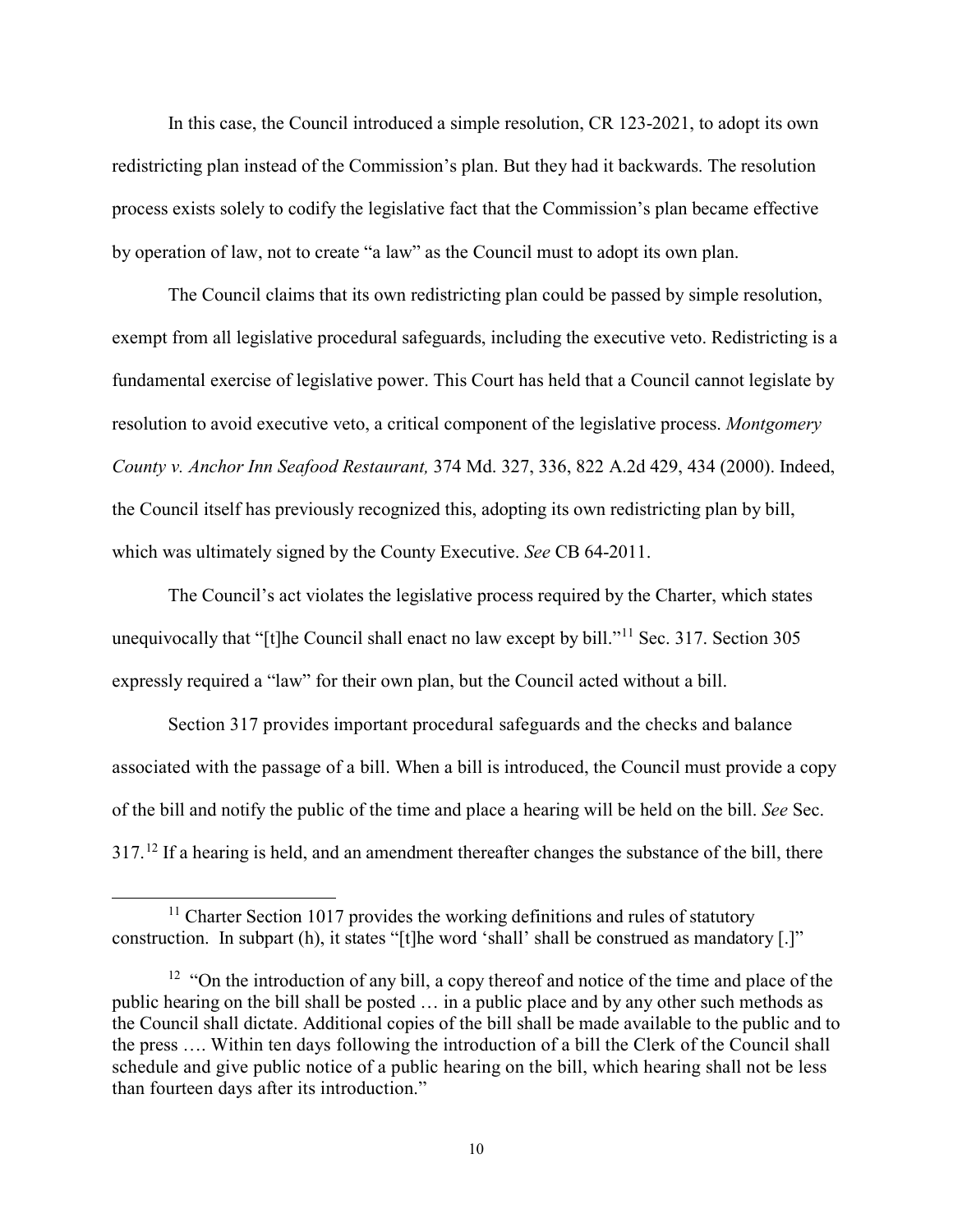In this case, the Council introduced a simple resolution, CR 123-2021, to adopt its own redistricting plan instead of the Commission's plan. But they had it backwards. The resolution process exists solely to codify the legislative fact that the Commission's plan became effective by operation of law, not to create "a law" as the Council must to adopt its own plan.

The Council claims that its own redistricting plan could be passed by simple resolution, exempt from all legislative procedural safeguards, including the executive veto. Redistricting is a fundamental exercise of legislative power. This Court has held that a Council cannot legislate by resolution to avoid executive veto, a critical component of the legislative process. *Montgomery County v. Anchor Inn Seafood Restaurant,* 374 Md. 327, 336, 822 A.2d 429, 434 (2000). Indeed, the Council itself has previously recognized this, adopting its own redistricting plan by bill, which was ultimately signed by the County Executive. *See* CB 64-2011.

The Council's act violates the legislative process required by the Charter, which states unequivocally that "[t]he Council shall enact no law except by bill."<sup>[11](#page-9-0)</sup> Sec. 317. Section 305 expressly required a "law" for their own plan, but the Council acted without a bill.

Section 317 provides important procedural safeguards and the checks and balance associated with the passage of a bill. When a bill is introduced, the Council must provide a copy of the bill and notify the public of the time and place a hearing will be held on the bill. *See* Sec. 317.<sup>[12](#page-9-1)</sup> If a hearing is held, and an amendment thereafter changes the substance of the bill, there

<span id="page-9-0"></span> $11$  Charter Section 1017 provides the working definitions and rules of statutory construction. In subpart (h), it states "[t]he word 'shall' shall be construed as mandatory [.]"

<span id="page-9-1"></span><sup>&</sup>lt;sup>12</sup> "On the introduction of any bill, a copy thereof and notice of the time and place of the public hearing on the bill shall be posted … in a public place and by any other such methods as the Council shall dictate. Additional copies of the bill shall be made available to the public and to the press …. Within ten days following the introduction of a bill the Clerk of the Council shall schedule and give public notice of a public hearing on the bill, which hearing shall not be less than fourteen days after its introduction."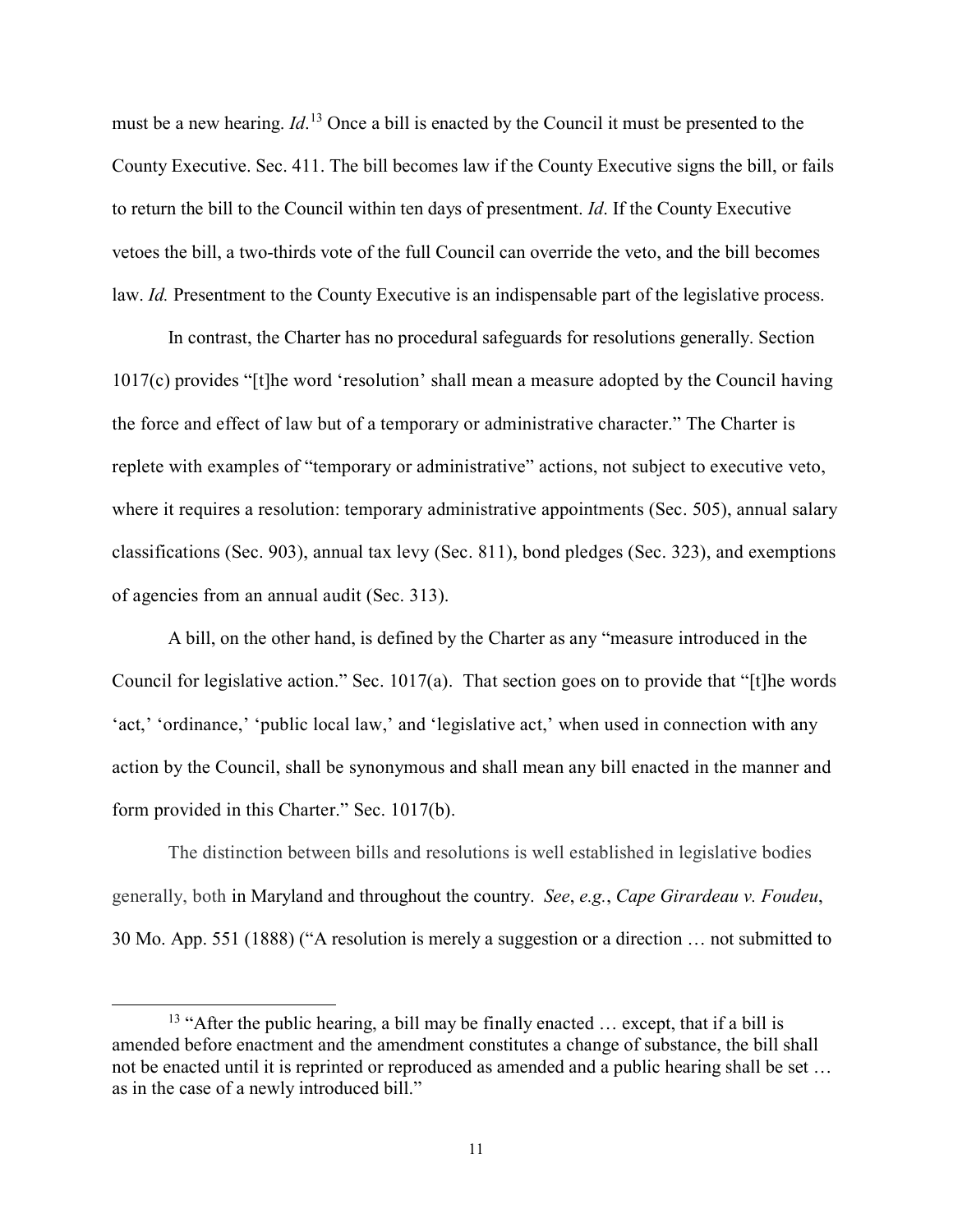must be a new hearing. *Id*. [13](#page-10-0) Once a bill is enacted by the Council it must be presented to the County Executive. Sec. 411. The bill becomes law if the County Executive signs the bill, or fails to return the bill to the Council within ten days of presentment. *Id*. If the County Executive vetoes the bill, a two-thirds vote of the full Council can override the veto, and the bill becomes law. *Id.* Presentment to the County Executive is an indispensable part of the legislative process.

In contrast, the Charter has no procedural safeguards for resolutions generally. Section 1017(c) provides "[t]he word 'resolution' shall mean a measure adopted by the Council having the force and effect of law but of a temporary or administrative character." The Charter is replete with examples of "temporary or administrative" actions, not subject to executive veto, where it requires a resolution: temporary administrative appointments (Sec. 505), annual salary classifications (Sec. 903), annual tax levy (Sec. 811), bond pledges (Sec. 323), and exemptions of agencies from an annual audit (Sec. 313).

A bill, on the other hand, is defined by the Charter as any "measure introduced in the Council for legislative action." Sec. 1017(a). That section goes on to provide that "[t]he words 'act,' 'ordinance,' 'public local law,' and 'legislative act,' when used in connection with any action by the Council, shall be synonymous and shall mean any bill enacted in the manner and form provided in this Charter." Sec. 1017(b).

The distinction between bills and resolutions is well established in legislative bodies generally, both in Maryland and throughout the country. *See*, *e.g.*, *Cape Girardeau v. Foudeu*, 30 Mo. App. 551 (1888) ("A resolution is merely a suggestion or a direction … not submitted to

<span id="page-10-0"></span><sup>&</sup>lt;sup>13</sup> "After the public hearing, a bill may be finally enacted  $\ldots$  except, that if a bill is amended before enactment and the amendment constitutes a change of substance, the bill shall not be enacted until it is reprinted or reproduced as amended and a public hearing shall be set … as in the case of a newly introduced bill."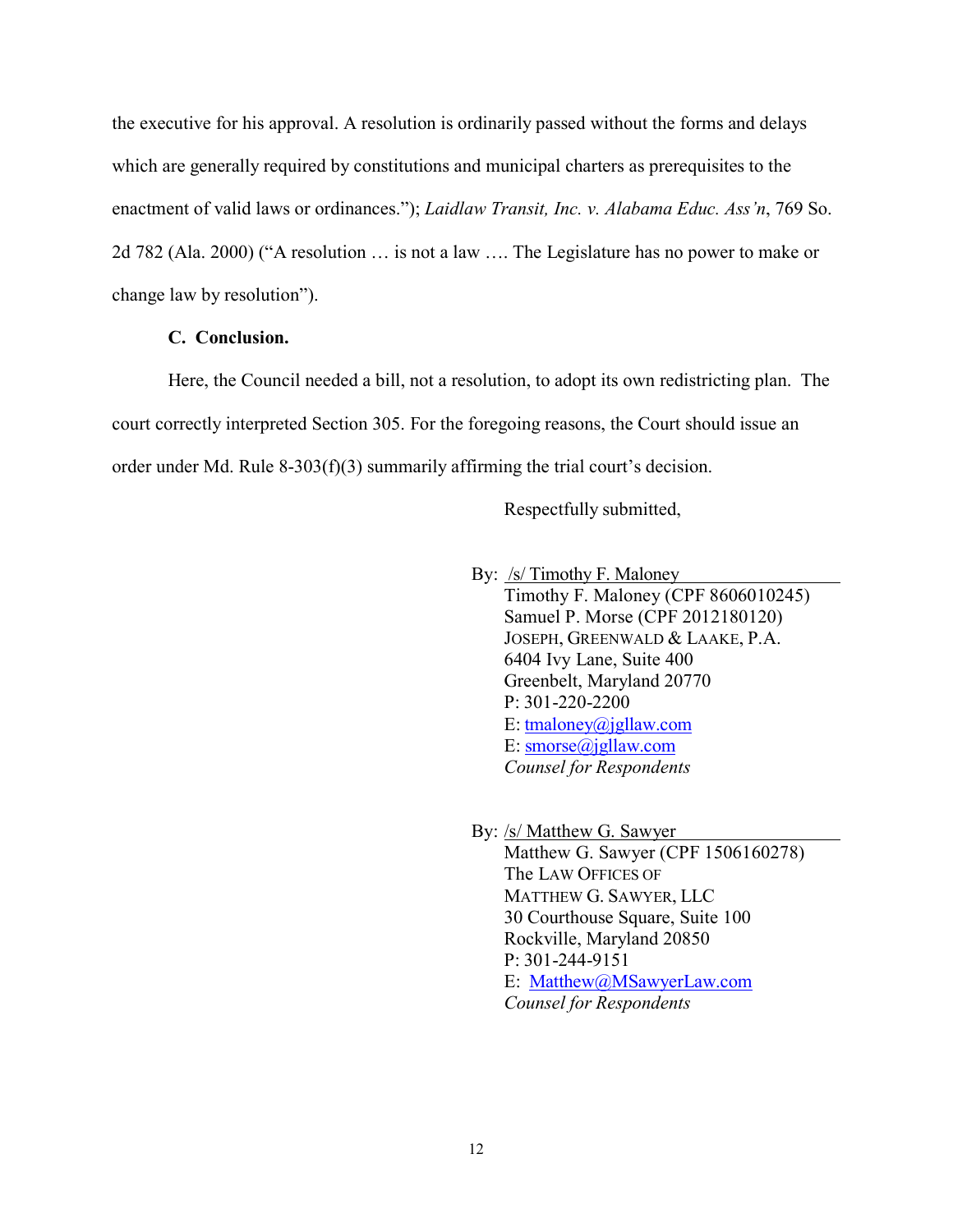the executive for his approval. A resolution is ordinarily passed without the forms and delays which are generally required by constitutions and municipal charters as prerequisites to the enactment of valid laws or ordinances."); *Laidlaw Transit, Inc. v. Alabama Educ. Ass'n*, 769 So. 2d 782 (Ala. 2000) ("A resolution … is not a law …. The Legislature has no power to make or change law by resolution").

#### **C. Conclusion.**

Here, the Council needed a bill, not a resolution, to adopt its own redistricting plan. The court correctly interpreted Section 305. For the foregoing reasons, the Court should issue an order under Md. Rule 8-303(f)(3) summarily affirming the trial court's decision.

Respectfully submitted,

By: /s/ Timothy F. Maloney

Timothy F. Maloney (CPF 8606010245) Samuel P. Morse (CPF 2012180120) JOSEPH, GREENWALD & LAAKE, P.A. 6404 Ivy Lane, Suite 400 Greenbelt, Maryland 20770 P: 301-220-2200 E: [tmaloney@jgllaw.com](mailto:tmaloney@jgllaw.com) E: [smorse@jgllaw.com](mailto:smorse@jgllaw.com) *Counsel for Respondents*

 By: /s/ Matthew G. Sawyer Matthew G. Sawyer (CPF 1506160278) The LAW OFFICES OF MATTHEW G. SAWYER, LLC 30 Courthouse Square, Suite 100 Rockville, Maryland 20850 P: 301-244-9151 E: [Matthew@MSawyerLaw.com](mailto:Matthew@MSawyerLaw.com) *Counsel for Respondents*